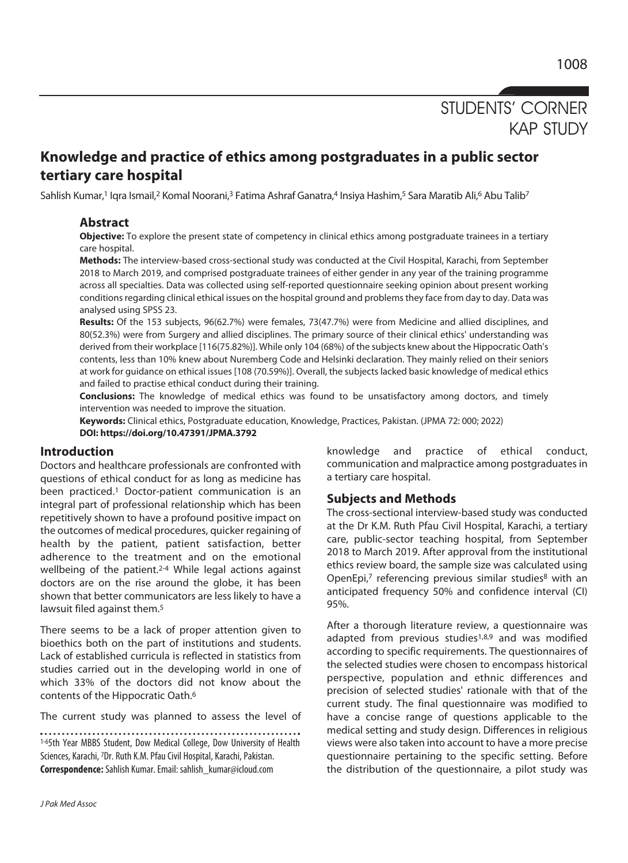# STUDENTS' CORNER KAP STUDY

## **Knowledge and practice of ethics among postgraduates in a public sector tertiary care hospital**

Sahlish Kumar,<sup>1</sup> Iqra Ismail,<sup>2</sup> Komal Noorani,<sup>3</sup> Fatima Ashraf Ganatra,<sup>4</sup> Insiya Hashim,<sup>5</sup> Sara Maratib Ali,<sup>6</sup> Abu Talib<sup>7</sup>

### **Abstract**

**Objective:** To explore the present state of competency in clinical ethics among postgraduate trainees in a tertiary care hospital.

**Methods:** The interview-based cross-sectional study was conducted at the Civil Hospital, Karachi, from September 2018 to March 2019, and comprised postgraduate trainees of either gender in any year of the training programme across all specialties. Data was collected using self-reported questionnaire seeking opinion about present working conditions regarding clinical ethical issues on the hospital ground and problems they face from day to day. Data was analysed using SPSS 23.

**Results:** Of the 153 subjects, 96(62.7%) were females, 73(47.7%) were from Medicine and allied disciplines, and 80(52.3%) were from Surgery and allied disciplines. The primary source of their clinical ethics' understanding was derived from their workplace [116(75.82%)]. While only 104 (68%) of the subjects knew about the Hippocratic Oath's contents, less than 10% knew about Nuremberg Code and Helsinki declaration. They mainly relied on their seniors at work for guidance on ethical issues [108 (70.59%)]. Overall, the subjects lacked basic knowledge of medical ethics and failed to practise ethical conduct during their training.

**Conclusions:** The knowledge of medical ethics was found to be unsatisfactory among doctors, and timely intervention was needed to improve the situation.

**Keywords:** Clinical ethics, Postgraduate education, Knowledge, Practices, Pakistan. (JPMA 72: 000; 2022) **DOI: https://doi.org/10.47391/JPMA.3792** 

#### **Introduction**

Doctors and healthcare professionals are confronted with questions of ethical conduct for as long as medicine has been practiced.<sup>1</sup> Doctor-patient communication is an integral part of professional relationship which has been repetitively shown to have a profound positive impact on the outcomes of medical procedures, quicker regaining of health by the patient, patient satisfaction, better adherence to the treatment and on the emotional wellbeing of the patient.<sup>2-4</sup> While legal actions against doctors are on the rise around the globe, it has been shown that better communicators are less likely to have a lawsuit filed against them.5

There seems to be a lack of proper attention given to bioethics both on the part of institutions and students. Lack of established curricula is reflected in statistics from studies carried out in the developing world in one of which 33% of the doctors did not know about the contents of the Hippocratic Oath.6

The current study was planned to assess the level of

1-65th Year MBBS Student, Dow Medical College, Dow University of Health Sciences, Karachi, 7Dr. Ruth K.M. Pfau Civil Hospital, Karachi, Pakistan. **Correspondence:** Sahlish Kumar. Email: sahlish\_kumar@icloud.com

knowledge and practice of ethical conduct, communication and malpractice among postgraduates in a tertiary care hospital.

#### **Subjects and Methods**

The cross-sectional interview-based study was conducted at the Dr K.M. Ruth Pfau Civil Hospital, Karachi, a tertiary care, public-sector teaching hospital, from September 2018 to March 2019. After approval from the institutional ethics review board, the sample size was calculated using OpenEpi,<sup>7</sup> referencing previous similar studies<sup>8</sup> with an anticipated frequency 50% and confidence interval (CI) 95%.

After a thorough literature review, a questionnaire was adapted from previous studies<sup>1,8,9</sup> and was modified according to specific requirements. The questionnaires of the selected studies were chosen to encompass historical perspective, population and ethnic differences and precision of selected studies' rationale with that of the current study. The final questionnaire was modified to have a concise range of questions applicable to the medical setting and study design. Differences in religious views were also taken into account to have a more precise questionnaire pertaining to the specific setting. Before the distribution of the questionnaire, a pilot study was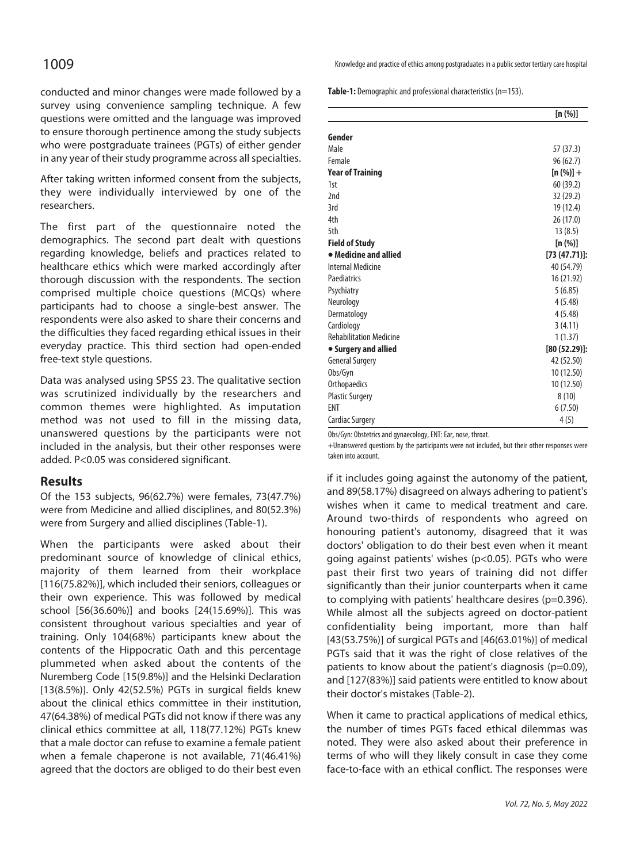conducted and minor changes were made followed by a survey using convenience sampling technique. A few questions were omitted and the language was improved to ensure thorough pertinence among the study subjects who were postgraduate trainees (PGTs) of either gender in any year of their study programme across all specialties.

After taking written informed consent from the subjects, they were individually interviewed by one of the researchers.

The first part of the questionnaire noted the demographics. The second part dealt with questions regarding knowledge, beliefs and practices related to healthcare ethics which were marked accordingly after thorough discussion with the respondents. The section comprised multiple choice questions (MCQs) where participants had to choose a single-best answer. The respondents were also asked to share their concerns and the difficulties they faced regarding ethical issues in their everyday practice. This third section had open-ended free-text style questions.

Data was analysed using SPSS 23. The qualitative section was scrutinized individually by the researchers and common themes were highlighted. As imputation method was not used to fill in the missing data, unanswered questions by the participants were not included in the analysis, but their other responses were added. P<0.05 was considered significant.

#### **Results**

Of the 153 subjects, 96(62.7%) were females, 73(47.7%) were from Medicine and allied disciplines, and 80(52.3%) were from Surgery and allied disciplines (Table-1).

When the participants were asked about their predominant source of knowledge of clinical ethics, majority of them learned from their workplace [116(75.82%)], which included their seniors, colleagues or their own experience. This was followed by medical school [56(36.60%)] and books [24(15.69%)]. This was consistent throughout various specialties and year of training. Only 104(68%) participants knew about the contents of the Hippocratic Oath and this percentage plummeted when asked about the contents of the Nuremberg Code [15(9.8%)] and the Helsinki Declaration [13(8.5%)]. Only 42(52.5%) PGTs in surgical fields knew about the clinical ethics committee in their institution, 47(64.38%) of medical PGTs did not know if there was any clinical ethics committee at all, 118(77.12%) PGTs knew that a male doctor can refuse to examine a female patient when a female chaperone is not available, 71(46.41%) agreed that the doctors are obliged to do their best even

1009 Knowledge and practice of ethics among postgraduates in a public sector tertiary care hospital

**Table-1:** Demographic and professional characteristics (n=153).

|                                | [n (%)]          |
|--------------------------------|------------------|
| Gender                         |                  |
| Male                           | 57 (37.3)        |
| Female                         | 96 (62.7)        |
| <b>Year of Training</b>        | $[n (\%)] +$     |
| 1st                            | 60 (39.2)        |
| 2nd                            | 32 (29.2)        |
| 3rd                            | 19 (12.4)        |
| 4th                            | 26 (17.0)        |
| 5th                            | 13(8.5)          |
| <b>Field of Study</b>          | [n (%)]          |
| • Medicine and allied          | $[73 (47.71)]$ : |
| <b>Internal Medicine</b>       | 40 (54.79)       |
| Paediatrics                    | 16 (21.92)       |
| Psychiatry                     | 5(6.85)          |
| Neurology                      | 4(5.48)          |
| Dermatology                    | 4(5.48)          |
| Cardiology                     | 3(4.11)          |
| <b>Rehabilitation Medicine</b> | 1(1.37)          |
| • Surgery and allied           | $[80(52.29)]$ :  |
| <b>General Surgery</b>         | 42 (52.50)       |
| Obs/Gyn                        | 10 (12.50)       |
| Orthopaedics                   | 10 (12.50)       |
| <b>Plastic Surgery</b>         | 8(10)            |
| <b>ENT</b>                     | 6(7.50)          |
| <b>Cardiac Surgery</b>         | 4(5)             |

Obs/Gyn: Obstetrics and gynaecology, ENT: Ear, nose, throat.

+Unanswered questions by the participants were not included, but their other responses were taken into account.

if it includes going against the autonomy of the patient, and 89(58.17%) disagreed on always adhering to patient's wishes when it came to medical treatment and care. Around two-thirds of respondents who agreed on honouring patient's autonomy, disagreed that it was doctors' obligation to do their best even when it meant going against patients' wishes (p<0.05). PGTs who were past their first two years of training did not differ significantly than their junior counterparts when it came to complying with patients' healthcare desires (p=0.396). While almost all the subjects agreed on doctor-patient confidentiality being important, more than half [43(53.75%)] of surgical PGTs and [46(63.01%)] of medical PGTs said that it was the right of close relatives of the patients to know about the patient's diagnosis (p=0.09), and [127(83%)] said patients were entitled to know about their doctor's mistakes (Table-2).

When it came to practical applications of medical ethics, the number of times PGTs faced ethical dilemmas was noted. They were also asked about their preference in terms of who will they likely consult in case they come face-to-face with an ethical conflict. The responses were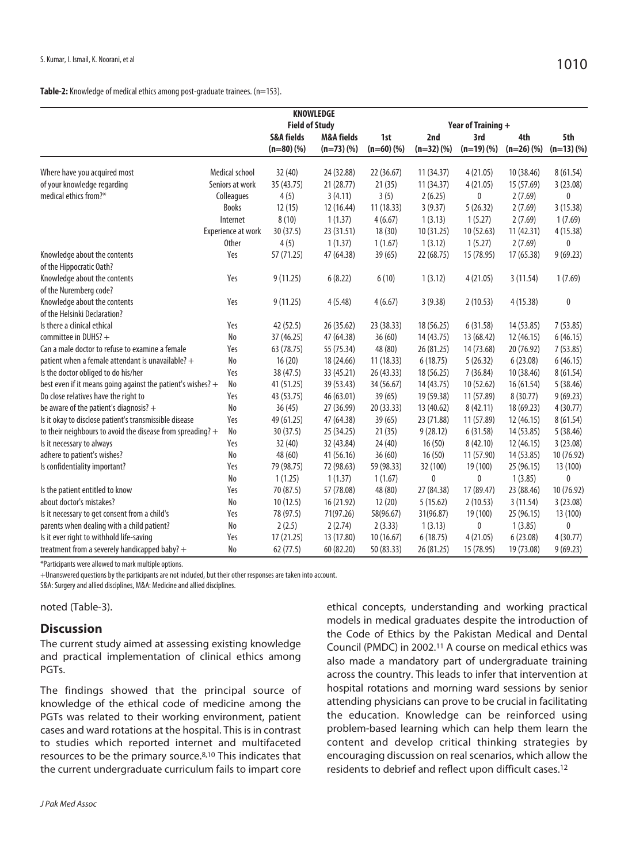#### **Table-2:** Knowledge of medical ethics among post-graduate trainees. (n=153).

| <b>KNOWLEDGE</b>                                             |                    |                       |                       |            |                    |             |            |             |  |
|--------------------------------------------------------------|--------------------|-----------------------|-----------------------|------------|--------------------|-------------|------------|-------------|--|
|                                                              |                    | <b>Field of Study</b> |                       |            | Year of Training + |             |            |             |  |
|                                                              |                    | <b>S&amp;A fields</b> | <b>M&amp;A fields</b> | 1st        | 2nd                | 3rd         | 4th        | 5th         |  |
|                                                              |                    | $(n=80)(%$            | $(n=73)(%$            | $(n=60)(%$ | $(n=32)(%$         | $(n=19)(%)$ | $(n=26)(%$ | $(n=13)(%$  |  |
|                                                              |                    |                       |                       |            |                    |             |            |             |  |
| Where have you acquired most                                 | Medical school     | 32 (40)               | 24 (32.88)            | 22 (36.67) | 11 (34.37)         | 4(21.05)    | 10 (38.46) | 8(61.54)    |  |
| of your knowledge regarding                                  | Seniors at work    | 35 (43.75)            | 21 (28.77)            | 21(35)     | 11(34.37)          | 4(21.05)    | 15 (57.69) | 3(23.08)    |  |
| medical ethics from?*                                        | Colleagues         | 4(5)                  | 3(4.11)               | 3(5)       | 2(6.25)            | 0           | 2(7.69)    | $\mathbf 0$ |  |
|                                                              | Books              | 12(15)                | 12 (16.44)            | 11 (18.33) | 3(9.37)            | 5(26.32)    | 2(7.69)    | 3(15.38)    |  |
|                                                              | Internet           | 8(10)                 | 1(1.37)               | 4(6.67)    | 1(3.13)            | 1(5.27)     | 2(7.69)    | 1(7.69)     |  |
|                                                              | Experience at work | 30(37.5)              | 23 (31.51)            | 18(30)     | 10 (31.25)         | 10 (52.63)  | 11(42.31)  | 4(15.38)    |  |
|                                                              | <b>Other</b>       | 4(5)                  | 1(1.37)               | 1(1.67)    | 1(3.12)            | 1(5.27)     | 2(7.69)    | 0           |  |
| Knowledge about the contents                                 | Yes                | 57 (71.25)            | 47 (64.38)            | 39(65)     | 22 (68.75)         | 15 (78.95)  | 17 (65.38) | 9(69.23)    |  |
| of the Hippocratic Oath?                                     |                    |                       |                       |            |                    |             |            |             |  |
| Knowledge about the contents                                 | Yes                | 9(11.25)              | 6(8.22)               | 6(10)      | 1(3.12)            | 4(21.05)    | 3(11.54)   | 1(7.69)     |  |
| of the Nuremberg code?                                       |                    |                       |                       |            |                    |             |            |             |  |
| Knowledge about the contents                                 | Yes                | 9(11.25)              | 4(5.48)               | 4(6.67)    | 3(9.38)            | 2(10.53)    | 4(15.38)   | 0           |  |
| of the Helsinki Declaration?                                 |                    |                       |                       |            |                    |             |            |             |  |
| Is there a clinical ethical                                  | Yes                | 42 (52.5)             | 26 (35.62)            | 23 (38.33) | 18 (56.25)         | 6(31.58)    | 14 (53.85) | 7(53.85)    |  |
| committee in DUHS? +                                         | No                 | 37 (46.25)            | 47 (64.38)            | 36(60)     | 14 (43.75)         | 13 (68.42)  | 12 (46.15) | 6(46.15)    |  |
| Can a male doctor to refuse to examine a female              | Yes                | 63 (78.75)            | 55 (75.34)            | 48 (80)    | 26 (81.25)         | 14 (73.68)  | 20 (76.92) | 7(53.85)    |  |
| patient when a female attendant is unavailable? +            | No                 | 16(20)                | 18 (24.66)            | 11 (18.33) | 6(18.75)           | 5(26.32)    | 6(23.08)   | 6(46.15)    |  |
| Is the doctor obliged to do his/her                          | Yes                | 38 (47.5)             | 33 (45.21)            | 26 (43.33) | 18 (56.25)         | 7(36.84)    | 10 (38.46) | 8(61.54)    |  |
| best even if it means going against the patient's wishes? +  | No                 | 41 (51.25)            | 39 (53.43)            | 34 (56.67) | 14 (43.75)         | 10 (52.62)  | 16 (61.54) | 5(38.46)    |  |
| Do close relatives have the right to                         | Yes                | 43 (53.75)            | 46 (63.01)            | 39(65)     | 19 (59.38)         | 11 (57.89)  | 8(30.77)   | 9(69.23)    |  |
| be aware of the patient's diagnosis? $+$                     | No                 | 36(45)                | 27 (36.99)            | 20 (33.33) | 13 (40.62)         | 8(42.11)    | 18 (69.23) | 4(30.77)    |  |
| Is it okay to disclose patient's transmissible disease       | Yes                | 49 (61.25)            | 47 (64.38)            | 39(65)     | 23 (71.88)         | 11 (57.89)  | 12 (46.15) | 8(61.54)    |  |
| to their neighbours to avoid the disease from spreading? $+$ | No                 | 30(37.5)              | 25 (34.25)            | 21(35)     | 9(28.12)           | 6(31.58)    | 14 (53.85) | 5(38.46)    |  |
| Is it necessary to always                                    | Yes                | 32 (40)               | 32 (43.84)            | 24(40)     | 16(50)             | 8 (42.10)   | 12 (46.15) | 3(23.08)    |  |
| adhere to patient's wishes?                                  | No                 | 48 (60)               | 41 (56.16)            | 36(60)     | 16(50)             | 11 (57.90)  | 14 (53.85) | 10 (76.92)  |  |
| Is confidentiality important?                                | Yes                | 79 (98.75)            | 72 (98.63)            | 59 (98.33) | 32 (100)           | 19 (100)    | 25 (96.15) | 13 (100)    |  |
|                                                              | No                 | 1(1.25)               | 1(1.37)               | 1(1.67)    | $\mathbf{0}$       | 0           | 1(3.85)    | 0           |  |
| Is the patient entitled to know                              | Yes                | 70 (87.5)             | 57 (78.08)            | 48 (80)    | 27 (84.38)         | 17 (89.47)  | 23 (88.46) | 10 (76.92)  |  |
| about doctor's mistakes?                                     | No                 | 10(12.5)              | 16 (21.92)            | 12(20)     | 5(15.62)           | 2(10.53)    | 3(11.54)   | 3(23.08)    |  |
| Is it necessary to get consent from a child's                | Yes                | 78 (97.5)             | 71(97.26)             | 58(96.67)  | 31(96.87)          | 19 (100)    | 25 (96.15) | 13 (100)    |  |
| parents when dealing with a child patient?                   | No                 | 2(2.5)                | 2(2.74)               | 2(3.33)    | 1(3.13)            | 0           | 1(3.85)    | 0           |  |
| Is it ever right to withhold life-saving                     | Yes                | 17 (21.25)            | 13 (17.80)            | 10(16.67)  | 6(18.75)           | 4(21.05)    | 6(23.08)   | 4(30.77)    |  |
| treatment from a severely handicapped baby? +                | No                 | 62(77.5)              | 60 (82.20)            | 50 (83.33) | 26 (81.25)         | 15 (78.95)  | 19 (73.08) | 9(69.23)    |  |

\*Participants were allowed to mark multiple options.

+Unanswered questions by the participants are not included, but their other responses are taken into account. S&A: Surgery and allied disciplines, M&A: Medicine and allied disciplines.

noted (Table-3).

#### **Discussion**

The current study aimed at assessing existing knowledge and practical implementation of clinical ethics among PGTs.

The findings showed that the principal source of knowledge of the ethical code of medicine among the PGTs was related to their working environment, patient cases and ward rotations at the hospital. This is in contrast to studies which reported internet and multifaceted resources to be the primary source.8,10 This indicates that the current undergraduate curriculum fails to impart core

J Pak Med Assoc

ethical concepts, understanding and working practical models in medical graduates despite the introduction of the Code of Ethics by the Pakistan Medical and Dental Council (PMDC) in 2002.11 A course on medical ethics was also made a mandatory part of undergraduate training across the country. This leads to infer that intervention at hospital rotations and morning ward sessions by senior attending physicians can prove to be crucial in facilitating the education. Knowledge can be reinforced using problem-based learning which can help them learn the content and develop critical thinking strategies by encouraging discussion on real scenarios, which allow the residents to debrief and reflect upon difficult cases.12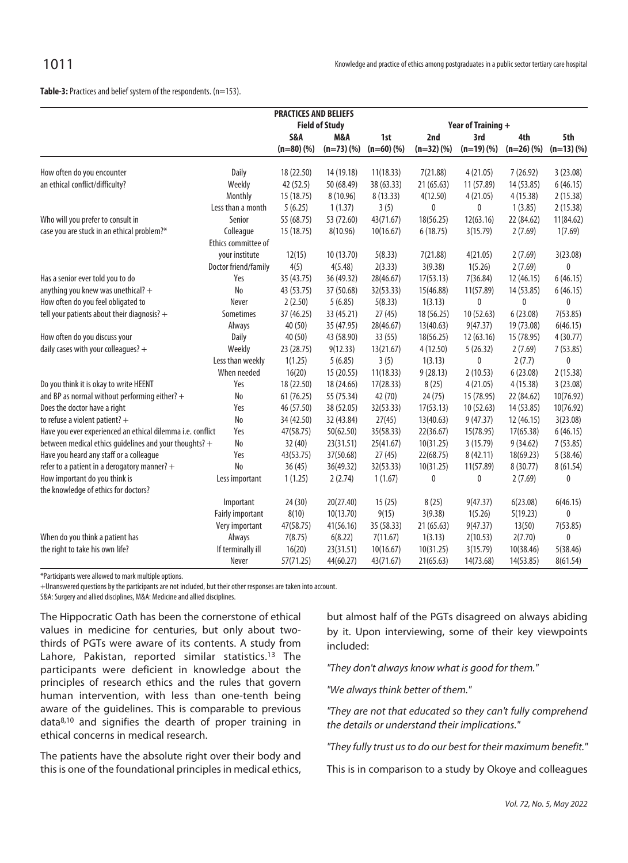| <b>PRACTICES AND BELIEFS</b>                               |                         |            |                       |            |                    |              |            |              |  |
|------------------------------------------------------------|-------------------------|------------|-----------------------|------------|--------------------|--------------|------------|--------------|--|
|                                                            |                         |            | <b>Field of Study</b> |            | Year of Training + |              |            |              |  |
|                                                            |                         | S&A        | M&A                   | 1st        | 2nd                | 3rd          | 4th        | 5th          |  |
|                                                            |                         | $(n=80)(%$ | $(n=73)(%$            | $(n=60)(%$ | $(n=32)(%$         | $(n=19)(%)$  | $(n=26)(%$ | $(n=13)(%$   |  |
|                                                            |                         |            |                       |            |                    |              |            |              |  |
| How often do you encounter                                 | Daily                   | 18 (22.50) | 14 (19.18)            | 11(18.33)  | 7(21.88)           | 4(21.05)     | 7(26.92)   | 3(23.08)     |  |
| an ethical conflict/difficulty?                            | Weekly                  | 42 (52.5)  | 50 (68.49)            | 38 (63.33) | 21 (65.63)         | 11 (57.89)   | 14 (53.85) | 6(46.15)     |  |
|                                                            | Monthly                 | 15 (18.75) | 8 (10.96)             | 8(13.33)   | 4(12.50)           | 4(21.05)     | 4(15.38)   | 2(15.38)     |  |
|                                                            | Less than a month       | 5(6.25)    | 1(1.37)               | 3(5)       | $\mathbf{0}$       | 0            | 1(3.85)    | 2(15.38)     |  |
| Who will you prefer to consult in                          | Senior                  | 55 (68.75) | 53 (72.60)            | 43(71.67)  | 18(56.25)          | 12(63.16)    | 22 (84.62) | 11(84.62)    |  |
| case you are stuck in an ethical problem?*                 | Colleague               | 15 (18.75) | 8(10.96)              | 10(16.67)  | 6(18.75)           | 3(15.79)     | 2(7.69)    | 1(7.69)      |  |
|                                                            | Ethics committee of     |            |                       |            |                    |              |            |              |  |
|                                                            | your institute          | 12(15)     | 10 (13.70)            | 5(8.33)    | 7(21.88)           | 4(21.05)     | 2(7.69)    | 3(23.08)     |  |
|                                                            | Doctor friend/family    | 4(5)       | 4(5.48)               | 2(3.33)    | 3(9.38)            | 1(5.26)      | 2(7.69)    | $\mathbf{0}$ |  |
| Has a senior ever told you to do                           | Yes                     | 35 (43.75) | 36 (49.32)            | 28(46.67)  | 17(53.13)          | 7(36.84)     | 12 (46.15) | 6(46.15)     |  |
| anything you knew was unethical? +                         | No                      | 43 (53.75) | 37 (50.68)            | 32(53.33)  | 15(46.88)          | 11(57.89)    | 14 (53.85) | 6(46.15)     |  |
| How often do you feel obligated to                         | Never                   | 2(2.50)    | 5(6.85)               | 5(8.33)    | 1(3.13)            | $\mathbf{0}$ | 0          | 0            |  |
| tell your patients about their diagnosis? +                | Sometimes               | 37 (46.25) | 33 (45.21)            | 27(45)     | 18 (56.25)         | 10(52.63)    | 6(23.08)   | 7(53.85)     |  |
|                                                            | Always                  | 40 (50)    | 35 (47.95)            | 28(46.67)  | 13(40.63)          | 9(47.37)     | 19 (73.08) | 6(46.15)     |  |
| How often do you discuss your                              | Daily                   | 40 (50)    | 43 (58.90)            | 33(55)     | 18(56.25)          | 12 (63.16)   | 15 (78.95) | 4(30.77)     |  |
| daily cases with your colleagues? $+$                      | Weekly                  | 23 (28.75) | 9(12.33)              | 13(21.67)  | 4(12.50)           | 5(26.32)     | 2(7.69)    | 7(53.85)     |  |
|                                                            | Less than weekly        | 1(1.25)    | 5(6.85)               | 3(5)       | 1(3.13)            | 0            | 2(7.7)     | 0            |  |
|                                                            | When needed             | 16(20)     | 15 (20.55)            | 11(18.33)  | 9(28.13)           | 2(10.53)     | 6(23.08)   | 2(15.38)     |  |
| Do you think it is okay to write HEENT                     | Yes                     | 18 (22.50) | 18 (24.66)            | 17(28.33)  | 8(25)              | 4(21.05)     | 4(15.38)   | 3(23.08)     |  |
| and BP as normal without performing either? $+$            | No                      | 61 (76.25) | 55 (75.34)            | 42 (70)    | 24(75)             | 15 (78.95)   | 22 (84.62) | 10(76.92)    |  |
| Does the doctor have a right                               | Yes                     | 46 (57.50) | 38 (52.05)            | 32(53.33)  | 17(53.13)          | 10 (52.63)   | 14 (53.85) | 10(76.92)    |  |
| to refuse a violent patient? $+$                           | No                      | 34 (42.50) | 32 (43.84)            | 27(45)     | 13(40.63)          | 9(47.37)     | 12 (46.15) | 3(23.08)     |  |
| Have you ever experienced an ethical dilemma i.e. conflict | Yes                     | 47(58.75)  | 50(62.50)             | 35(58.33)  | 22(36.67)          | 15(78.95)    | 17(65.38)  | 6(46.15)     |  |
| between medical ethics guidelines and your thoughts? +     | No                      | 32(40)     | 23(31.51)             | 25(41.67)  | 10(31.25)          | 3(15.79)     | 9(34.62)   | 7(53.85)     |  |
| Have you heard any staff or a colleague                    | Yes                     | 43(53.75)  | 37(50.68)             | 27(45)     | 22(68.75)          | 8(42.11)     | 18(69.23)  | 5(38.46)     |  |
| refer to a patient in a derogatory manner? +               | No                      | 36(45)     | 36(49.32)             | 32(53.33)  | 10(31.25)          | 11(57.89)    | 8 (30.77)  | 8(61.54)     |  |
| How important do you think is                              | Less important          | 1(1.25)    | 2(2.74)               | 1(1.67)    | $\mathbf{0}$       | 0            | 2(7.69)    | 0            |  |
| the knowledge of ethics for doctors?                       |                         |            |                       |            |                    |              |            |              |  |
|                                                            | Important               | 24 (30)    | 20(27.40)             | 15(25)     | 8(25)              | 9(47.37)     | 6(23.08)   | 6(46.15)     |  |
|                                                            | <b>Fairly important</b> | 8(10)      | 10(13.70)             | 9(15)      | 3(9.38)            | 1(5.26)      | 5(19.23)   | 0            |  |
|                                                            | Very important          | 47(58.75)  | 41(56.16)             | 35 (58.33) | 21 (65.63)         | 9(47.37)     | 13(50)     | 7(53.85)     |  |
| When do you think a patient has                            | Always                  | 7(8.75)    | 6(8.22)               | 7(11.67)   | 1(3.13)            | 2(10.53)     | 2(7.70)    | 0            |  |
| the right to take his own life?                            | If terminally ill       | 16(20)     | 23(31.51)             | 10(16.67)  | 10(31.25)          | 3(15.79)     | 10(38.46)  | 5(38.46)     |  |
|                                                            | Never                   | 57(71.25)  | 44(60.27)             | 43(71.67)  | 21(65.63)          | 14(73.68)    | 14(53.85)  | 8(61.54)     |  |

\*Participants were allowed to mark multiple options.

+Unanswered questions by the participants are not included, but their other responses are taken into account.

S&A: Surgery and allied disciplines, M&A: Medicine and allied disciplines.

The Hippocratic Oath has been the cornerstone of ethical values in medicine for centuries, but only about twothirds of PGTs were aware of its contents. A study from Lahore, Pakistan, reported similar statistics.<sup>13</sup> The participants were deficient in knowledge about the principles of research ethics and the rules that govern human intervention, with less than one-tenth being aware of the guidelines. This is comparable to previous data8,10 and signifies the dearth of proper training in ethical concerns in medical research.

The patients have the absolute right over their body and this is one of the foundational principles in medical ethics, but almost half of the PGTs disagreed on always abiding by it. Upon interviewing, some of their key viewpoints included:

"They don't always know what is good for them."

"We always think better of them."

"They are not that educated so they can't fully comprehend the details or understand their implications."

"They fully trust us to do our best for their maximum benefit."

This is in comparison to a study by Okoye and colleagues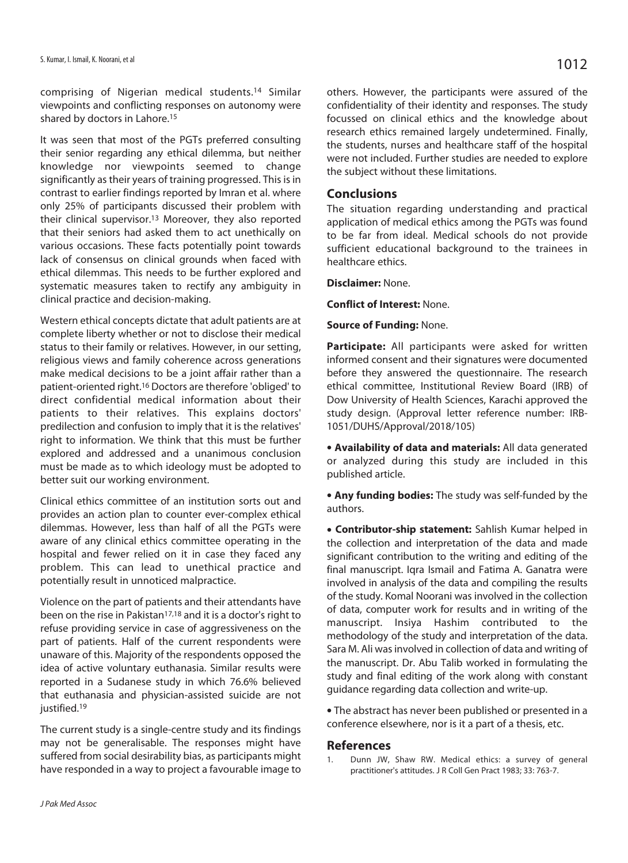comprising of Nigerian medical students.14 Similar viewpoints and conflicting responses on autonomy were shared by doctors in Lahore.15

It was seen that most of the PGTs preferred consulting their senior regarding any ethical dilemma, but neither knowledge nor viewpoints seemed to change significantly as their years of training progressed. This is in contrast to earlier findings reported by Imran et al. where only 25% of participants discussed their problem with their clinical supervisor.13 Moreover, they also reported that their seniors had asked them to act unethically on various occasions. These facts potentially point towards lack of consensus on clinical grounds when faced with ethical dilemmas. This needs to be further explored and systematic measures taken to rectify any ambiguity in clinical practice and decision-making.

Western ethical concepts dictate that adult patients are at complete liberty whether or not to disclose their medical status to their family or relatives. However, in our setting, religious views and family coherence across generations make medical decisions to be a joint affair rather than a patient-oriented right.16 Doctors are therefore 'obliged' to direct confidential medical information about their patients to their relatives. This explains doctors' predilection and confusion to imply that it is the relatives' right to information. We think that this must be further explored and addressed and a unanimous conclusion must be made as to which ideology must be adopted to better suit our working environment.

Clinical ethics committee of an institution sorts out and provides an action plan to counter ever-complex ethical dilemmas. However, less than half of all the PGTs were aware of any clinical ethics committee operating in the hospital and fewer relied on it in case they faced any problem. This can lead to unethical practice and potentially result in unnoticed malpractice.

Violence on the part of patients and their attendants have been on the rise in Pakistan<sup>17,18</sup> and it is a doctor's right to refuse providing service in case of aggressiveness on the part of patients. Half of the current respondents were unaware of this. Majority of the respondents opposed the idea of active voluntary euthanasia. Similar results were reported in a Sudanese study in which 76.6% believed that euthanasia and physician-assisted suicide are not justified.<sup>19</sup>

The current study is a single-centre study and its findings may not be generalisable. The responses might have suffered from social desirability bias, as participants might have responded in a way to project a favourable image to

research ethics remained largely undetermined. Finally, the students, nurses and healthcare staff of the hospital were not included. Further studies are needed to explore the subject without these limitations.

#### **Conclusions**

The situation regarding understanding and practical application of medical ethics among the PGTs was found to be far from ideal. Medical schools do not provide sufficient educational background to the trainees in healthcare ethics.

#### **Disclaimer:** None.

**Conflict of Interest:** None.

#### **Source of Funding:** None.

**Participate:** All participants were asked for written informed consent and their signatures were documented before they answered the questionnaire. The research ethical committee, Institutional Review Board (IRB) of Dow University of Health Sciences, Karachi approved the study design. (Approval letter reference number: IRB-1051/DUHS/Approval/2018/105)

<sup>l</sup> **Availability of data and materials:** All data generated or analyzed during this study are included in this published article.

**• Any funding bodies:** The study was self-funded by the authors.

**• Contributor-ship statement:** Sahlish Kumar helped in the collection and interpretation of the data and made significant contribution to the writing and editing of the final manuscript. Iqra Ismail and Fatima A. Ganatra were involved in analysis of the data and compiling the results of the study. Komal Noorani was involved in the collection of data, computer work for results and in writing of the manuscript. Insiya Hashim contributed to the methodology of the study and interpretation of the data. Sara M. Ali was involved in collection of data and writing of the manuscript. Dr. Abu Talib worked in formulating the study and final editing of the work along with constant guidance regarding data collection and write-up.

• The abstract has never been published or presented in a conference elsewhere, nor is it a part of a thesis, etc.

#### **References**

1. Dunn JW, Shaw RW. Medical ethics: a survey of general practitioner's attitudes. J R Coll Gen Pract 1983; 33: 763-7.